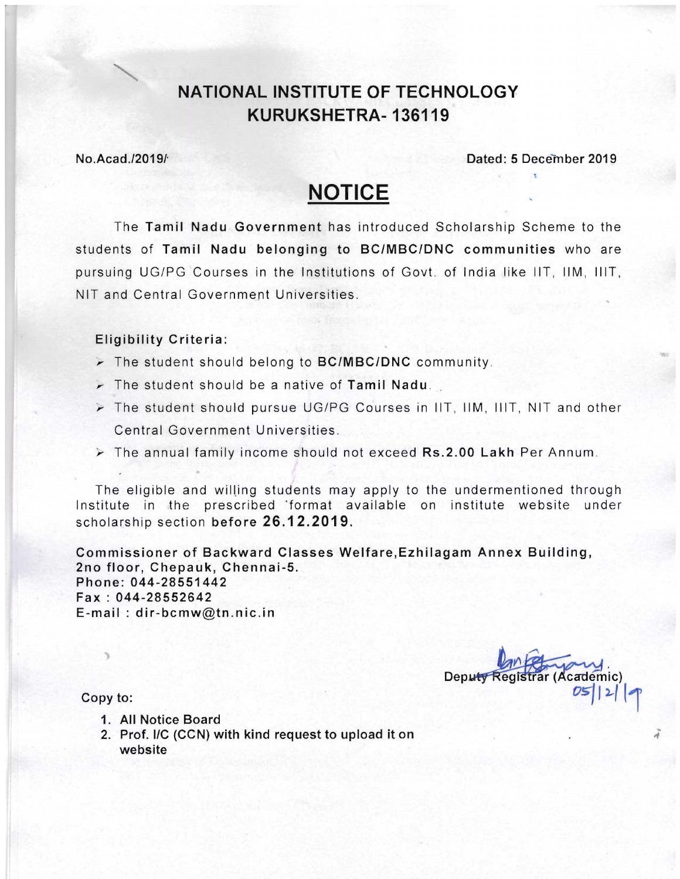# **NATIONAL INSTITUTE OF TECHNOLOGY KURUKSHETRA-136119**

#### NO.Acad.l2019/' Dated: 5 December 2019

# **NOTICE**

The Tamil Nadu Government has introduced Scholarship Scheme to the students of Tamil Nadu belonging to BC/MBC/DNC communities who are pursuing UG/PG Courses in the Institutions of Govt. of India like liT, 11M, lilT, NIT and Central Government Universities.

#### Eligibility Criteria:

- $\triangleright$  The student should belong to BC/MBC/DNC community.
- $\triangleright$  The student should be a native of Tamil Nadu.
- $\triangleright$  The student should pursue UG/PG Courses in IIT, IIM, IIIT, NIT and other Central Government Universities.
- $\triangleright$  The annual family income should not exceed Rs.2.00 Lakh Per Annum.

The eligible and willing students may apply to the undermentioned through Institute in the prescribed 'format available on institute website under scholarship section before 26.12.2019.

Commissioner of Backward Classes Welfare,Ezhilagam Annex Building, 2no floor, Chepauk, Chennai-5. Phone: 044-28551442 Fax: 044-28552642 E-mail: dir-bcmw@tn.nic.in

Deputy Registrar (Academic)

Copy to:

- 1. All Notice Board
- 2. Prof. I/C (CCN) with kind request to upload it on website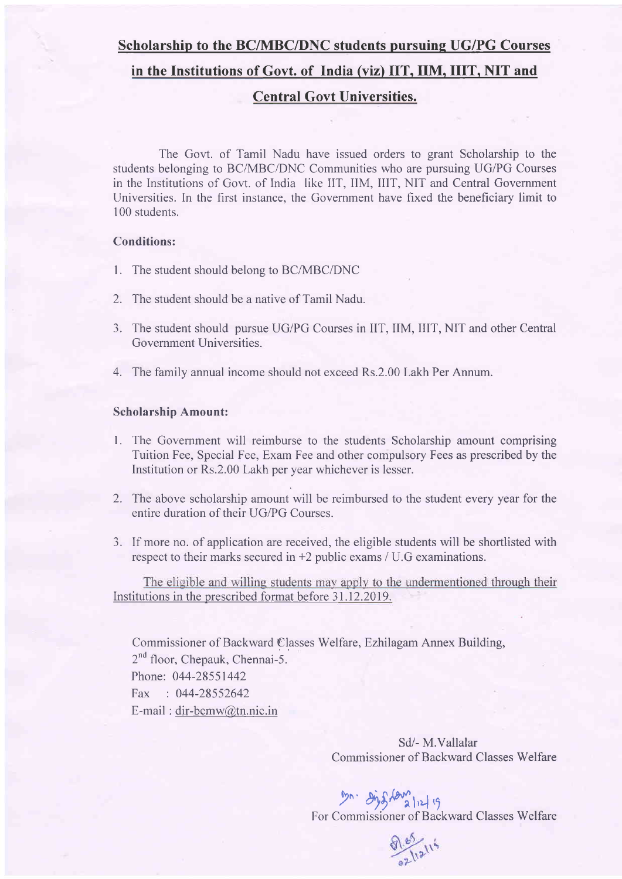#### Scholarship to the BC/MBC/DNC students pursuing UG/PG Courses

#### in the Institutions of Govt. of India (viz) IIT. IIM. IIIT. NIT and

### Central Govt Universities.

The Govt. of Tamil Nadu have issued orders to grant Scholarship to the students belonging to BC/MBC/DNC Communities who are pursuing UG/PG Courses in the Institutions of Govt. of India like IIT, IIM, IIIT, NIT and Central Govemment Universities. In the first instance, the Govemment have fixed the beneficiary limit to 100 students.

#### Conditions:

- l. The student should belons to BC/MBC/DNC
- 2. The student should be a native of Tamil Nadu.
- 3. The student should pursue UG/PG Courses in IIT, IIM, IIIT, NIT and other Central Government Universities.
- 4. The family annual income should not exceed Rs.2.00 Lakh Per Annum.

#### Scholarship Amount:

- l. The Govemment will reimburse to the students Scholarship amount comprising Tuition Fee, Special Fee, Exam Fee and other compulsory Fees as prescribed by the Institution or Rs.2.00 Lakh per year whichever is lesser.
- 2. The above scholarship amount will be reimbursed to the student every year for the entire duration of their UG/PG Courses.
- 3. If more no. of application are received, the eligible students will be shortlisted with respect to their marks secured in +2 public exams / U.G examinations.

The eligible and willing students may apply to the undermentioned through their Institutions in the prescribed format before 31.12.2019.

Commissioner of Backward Classes Welfare, Ezhilagam Annex Building,  $2^{nd}$  floor, Chepauk, Chennai-5. Phone: 044-28551442 Fax : 044-28552642 E-mail : dir-bcmw@tn.nic.in

> Sd/- M.Vallalar Commissioner of Backward Classes Welfare



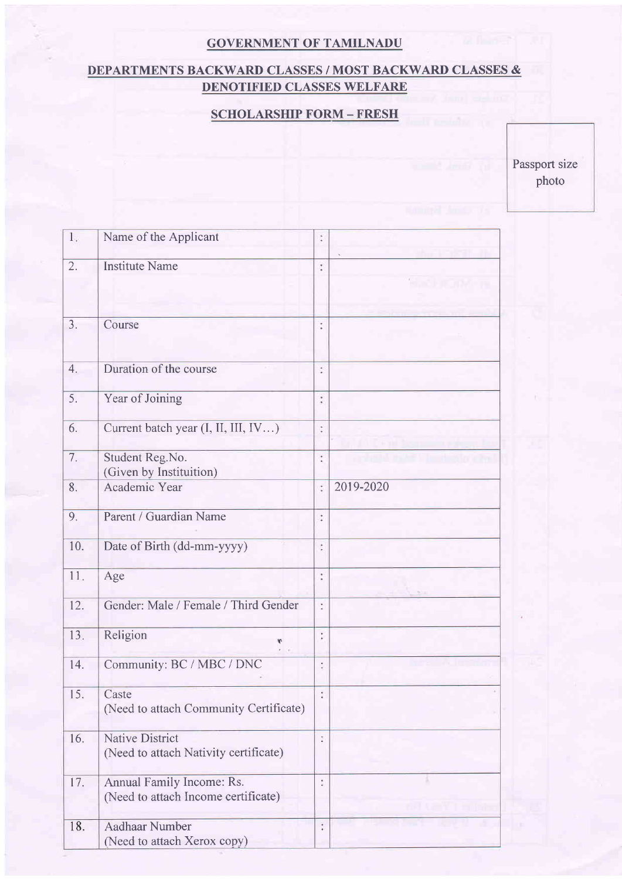# GOVERNMENT OF TAMILNADU

# DEPARTMENTS BACKWARD CLASSES / MOST BACKWARD CLASSES & DENOTIFIED CLASSES WELFARE

# SCHOLARSHIP FORM - FRESH

Passport size photo

| 1.  | Name of the Applicant                                            | $\ddot{\cdot}$       |           |
|-----|------------------------------------------------------------------|----------------------|-----------|
| 2.  | <b>Institute Name</b>                                            | $\ddot{\cdot}$       |           |
|     |                                                                  |                      |           |
| 3.  | Course                                                           | $\ddot{\cdot}$       |           |
| 4.  | Duration of the course                                           | $\ddot{\cdot}$       |           |
| 5.  | Year of Joining                                                  | $\ddot{\phantom{a}}$ |           |
| 6.  | Current batch year (I, II, III, IV)                              | $\ddot{\cdot}$       |           |
| 7.  | Student Reg.No.<br>(Given by Instituition)                       | $\ddot{\cdot}$       |           |
| 8.  | Academic Year                                                    | t                    | 2019-2020 |
| 9.  | Parent / Guardian Name                                           | $\ddot{\cdot}$       |           |
| 10. | Date of Birth (dd-mm-yyyy)                                       | $\ddot{\cdot}$       |           |
| 11. | Age                                                              | $\ddot{\cdot}$       |           |
| 12. | Gender: Male / Female / Third Gender                             | š                    |           |
| 13. | Religion<br>۴                                                    | $\vdots$             |           |
| 14. | Community: BC / MBC / DNC                                        | t                    |           |
| 15. | Caste<br>(Need to attach Community Certificate)                  | t                    |           |
| 16. | <b>Native District</b><br>(Need to attach Nativity certificate)  | Ť                    |           |
| 17. | Annual Family Income: Rs.<br>(Need to attach Income certificate) |                      |           |
| 18. | <b>Aadhaar Number</b><br>(Need to attach Xerox copy)             | ţ.                   |           |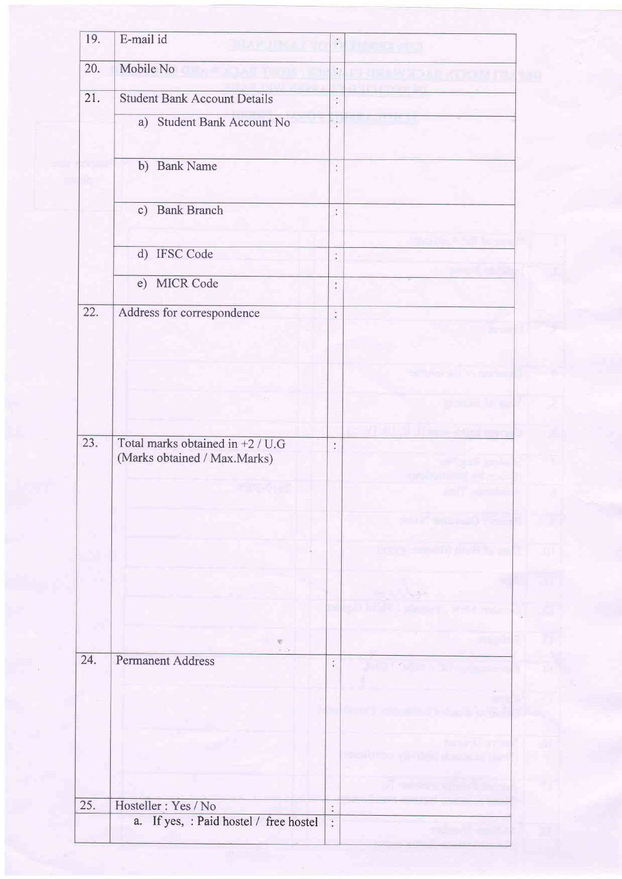| 19. | E-mail id                                                          | $\ddot{\cdot}$       |  |
|-----|--------------------------------------------------------------------|----------------------|--|
| 20. | Mobile No                                                          | $\ddot{\cdot}$       |  |
| 21. | <b>Student Bank Account Details</b>                                |                      |  |
|     |                                                                    | $\ddot{\cdot}$       |  |
|     | a) Student Bank Account No                                         | $\ddot{\cdot}$       |  |
|     | b) Bank Name                                                       | $\ddot{\phantom{a}}$ |  |
|     |                                                                    |                      |  |
|     | c) Bank Branch                                                     | $\ddot{\cdot}$       |  |
|     |                                                                    |                      |  |
|     | d) IFSC Code                                                       | ÷,                   |  |
|     | e) MICR Code                                                       | $\ddot{\cdot}$       |  |
| 22. | Address for correspondence                                         | $\ddot{\cdot}$       |  |
|     |                                                                    |                      |  |
|     |                                                                    |                      |  |
|     |                                                                    |                      |  |
|     |                                                                    |                      |  |
|     |                                                                    |                      |  |
| 23. | Total marks obtained in $+2$ / U.G<br>(Marks obtained / Max.Marks) | $\ddot{\cdot}$       |  |
|     |                                                                    |                      |  |
|     |                                                                    |                      |  |
|     |                                                                    |                      |  |
|     |                                                                    |                      |  |
|     |                                                                    |                      |  |
|     |                                                                    |                      |  |
|     |                                                                    |                      |  |
|     |                                                                    |                      |  |
| 24. | <b>Permanent Address</b>                                           | $\vdots$             |  |
|     |                                                                    |                      |  |
|     |                                                                    |                      |  |
|     |                                                                    |                      |  |
|     |                                                                    |                      |  |
|     |                                                                    |                      |  |
| 25. | Hosteller : Yes / No                                               | $\ddot{\cdot}$       |  |
|     | a. If yes, : Paid hostel / free hostel                             | Ŷ.                   |  |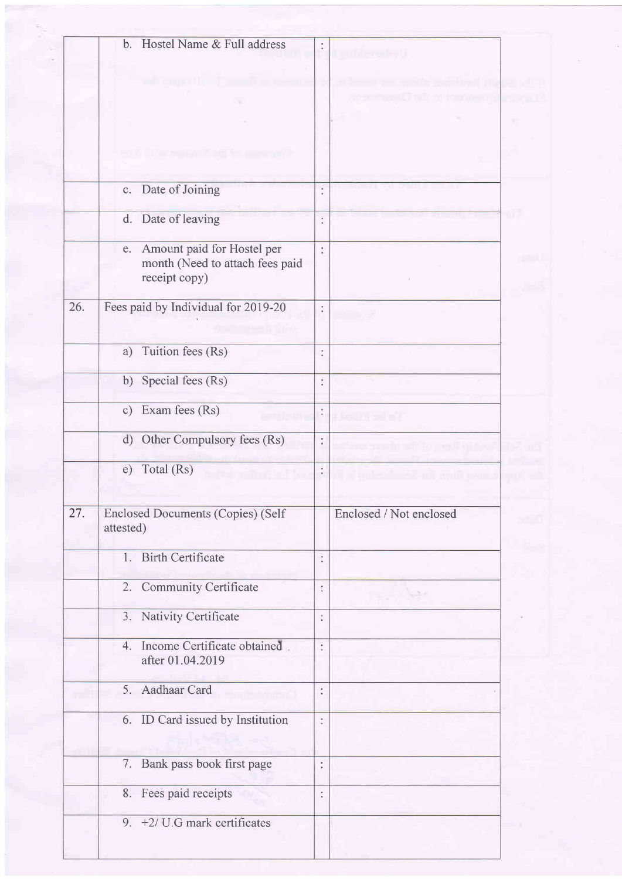|     | Hostel Name & Full address<br>b.                                                     |                     |                         |  |
|-----|--------------------------------------------------------------------------------------|---------------------|-------------------------|--|
|     |                                                                                      |                     |                         |  |
|     |                                                                                      |                     |                         |  |
|     |                                                                                      |                     |                         |  |
|     |                                                                                      |                     |                         |  |
|     |                                                                                      |                     |                         |  |
|     | Date of Joining<br>$\mathbf{c}$ .                                                    | ¥<br>٠              |                         |  |
|     | Date of leaving<br>d.                                                                | $\ddot{\ddot{i}}$   |                         |  |
|     | Amount paid for Hostel per<br>e.<br>month (Need to attach fees paid<br>receipt copy) | ţ.                  |                         |  |
| 26. | Fees paid by Individual for 2019-20                                                  | $\widetilde{\cdot}$ |                         |  |
|     | Tuition fees (Rs)<br>a)                                                              | $\ddot{\ddot{\ }}$  |                         |  |
|     | b) Special fees (Rs)                                                                 | í                   |                         |  |
|     | Exam fees (Rs)<br>c)                                                                 | $\ddot{\cdot}$      |                         |  |
|     | Other Compulsory fees (Rs)<br>$\mathbf{d}$                                           | $\ddot{\cdot}$      |                         |  |
|     | Total (Rs)<br>e)                                                                     |                     |                         |  |
| 27. | <b>Enclosed Documents (Copies) (Self</b><br>attested)                                |                     | Enclosed / Not enclosed |  |
|     | 1. Birth Certificate                                                                 | t                   |                         |  |
|     | 2. Community Certificate                                                             | $\ddot{\cdot}$      |                         |  |
|     | 3. Nativity Certificate                                                              | $\ddot{\cdot}$      |                         |  |
|     | 4. Income Certificate obtained.<br>after 01.04.2019                                  | ÷                   |                         |  |
|     | 5. Aadhaar Card                                                                      | $\ddot{\cdot}$      |                         |  |
|     | 6. ID Card issued by Institution                                                     | t                   |                         |  |
|     | 7. Bank pass book first page                                                         | $\ddot{\cdot}$      |                         |  |
|     | 8. Fees paid receipts                                                                | t                   |                         |  |
|     | 9. $+2$ / U.G mark certificates                                                      |                     |                         |  |